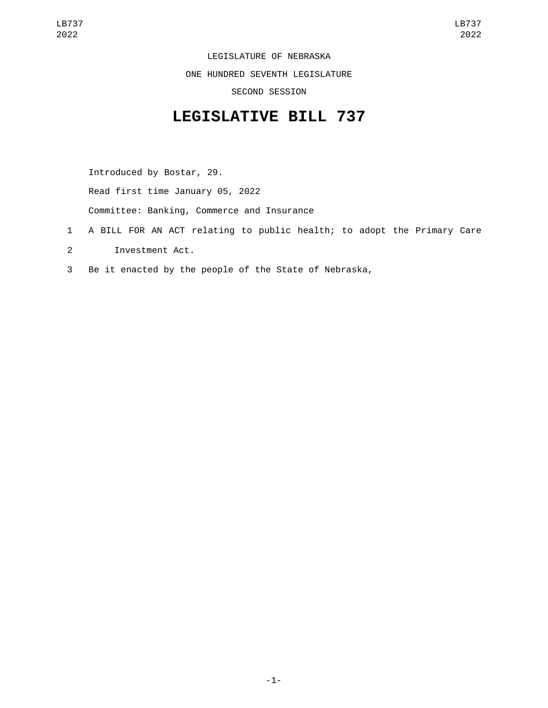LEGISLATURE OF NEBRASKA ONE HUNDRED SEVENTH LEGISLATURE SECOND SESSION

## **LEGISLATIVE BILL 737**

Introduced by Bostar, 29. Read first time January 05, 2022

Committee: Banking, Commerce and Insurance

- 1 A BILL FOR AN ACT relating to public health; to adopt the Primary Care
- 2 Investment Act.
- 3 Be it enacted by the people of the State of Nebraska,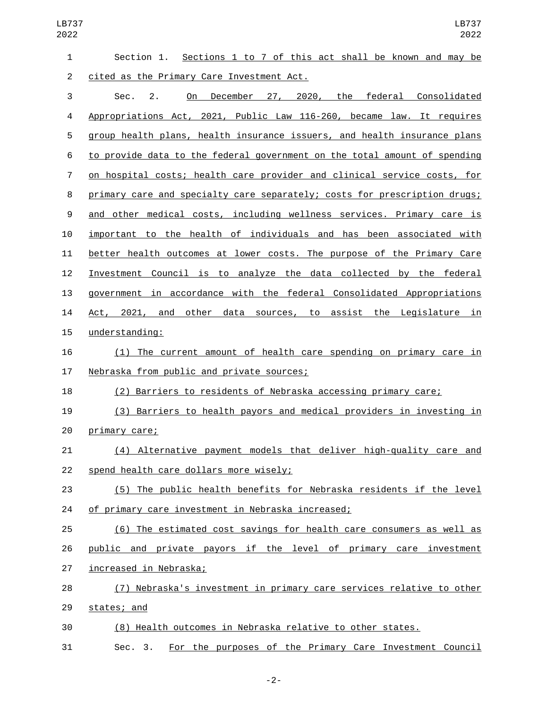| 1  | Sections 1 to 7 of this act shall be known and may be<br>Section 1.       |
|----|---------------------------------------------------------------------------|
| 2  | cited as the Primary Care Investment Act.                                 |
| 3  | On December 27, 2020, the federal Consolidated<br>Sec.<br>2.              |
| 4  | Appropriations Act, 2021, Public Law 116-260, became law. It requires     |
| 5  | group health plans, health insurance issuers, and health insurance plans  |
| 6  | to provide data to the federal government on the total amount of spending |
| 7  | on hospital costs; health care provider and clinical service costs, for   |
| 8  | primary care and specialty care separately; costs for prescription drugs; |
| 9  | and other medical costs, including wellness services. Primary care is     |
| 10 | important to the health of individuals and has been associated with       |
| 11 | better health outcomes at lower costs. The purpose of the Primary Care    |
| 12 | Investment Council is to analyze the data collected by the federal        |
| 13 | government in accordance with the federal Consolidated Appropriations     |
| 14 | Act, 2021, and other data sources, to assist the Legislature in           |
| 15 | understanding:                                                            |
| 16 | (1) The current amount of health care spending on primary care in         |
| 17 | Nebraska from public and private sources;                                 |
| 18 | (2) Barriers to residents of Nebraska accessing primary care;             |
| 19 | (3) Barriers to health payors and medical providers in investing in       |
| 20 | <u>primary care;</u>                                                      |
| 21 | Alternative payment models that deliver high-quality care and<br>(4)      |
| 22 | spend health care dollars more wisely;                                    |
| 23 | (5) The public health benefits for Nebraska residents if the level        |
| 24 | of primary care investment in Nebraska increased;                         |
| 25 | (6) The estimated cost savings for health care consumers as well as       |
| 26 | public and private payors if the level of primary care investment         |
| 27 | increased in Nebraska;                                                    |
| 28 | (7) Nebraska's investment in primary care services relative to other      |
| 29 | states; and                                                               |
| 30 | (8) Health outcomes in Nebraska relative to other states.                 |
| 31 | For the purposes of the Primary Care Investment Council<br>Sec. 3.        |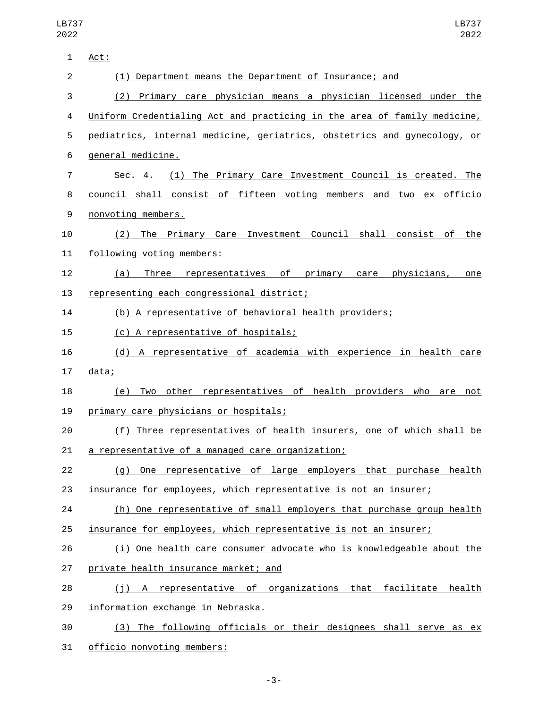| 1              | Act:                                                                     |
|----------------|--------------------------------------------------------------------------|
| $\overline{c}$ | (1) Department means the Department of Insurance; and                    |
| 3              | (2) Primary care physician means a physician licensed under the          |
| 4              | Uniform Credentialing Act and practicing in the area of family medicine, |
| 5              | pediatrics, internal medicine, geriatrics, obstetrics and gynecology, or |
| 6              | general medicine.                                                        |
| 7              | (1) The Primary Care Investment Council is created. The<br>Sec. 4.       |
| 8              | council shall consist of fifteen voting members and two ex officio       |
| 9              | nonvoting members.                                                       |
| 10             | The Primary Care Investment Council shall consist<br>of the<br>(2)       |
| 11             | following voting members:                                                |
| 12             | Three representatives of primary care physicians,<br>(a)<br>one          |
| 13             | representing each congressional district;                                |
| 14             | (b) A representative of behavioral health providers;                     |
| 15             | (c) A representative of hospitals;                                       |
| 16             | (d) A representative of academia with experience in health care          |
| 17             | data;                                                                    |
| 18             | Two other representatives of health providers who are not<br>(e)         |
| 19             | primary care physicians or hospitals;                                    |
| 20             | (f) Three representatives of health insurers, one of which shall be      |
| 21             | a representative of a managed care organization;                         |
| 22             | (g) One representative of large employers that purchase health           |
| 23             | insurance for employees, which representative is not an insurer;         |
| 24             | (h) One representative of small employers that purchase group health     |
| 25             | insurance for employees, which representative is not an insurer;         |
| 26             | (i) One health care consumer advocate who is knowledgeable about the     |
| 27             | private health insurance market; and                                     |
| 28             | (j) A representative of organizations that facilitate health             |
| 29             | information exchange in Nebraska.                                        |
| 30             | (3) The following officials or their designees shall serve as ex         |
|                |                                                                          |

31 officio nonvoting members: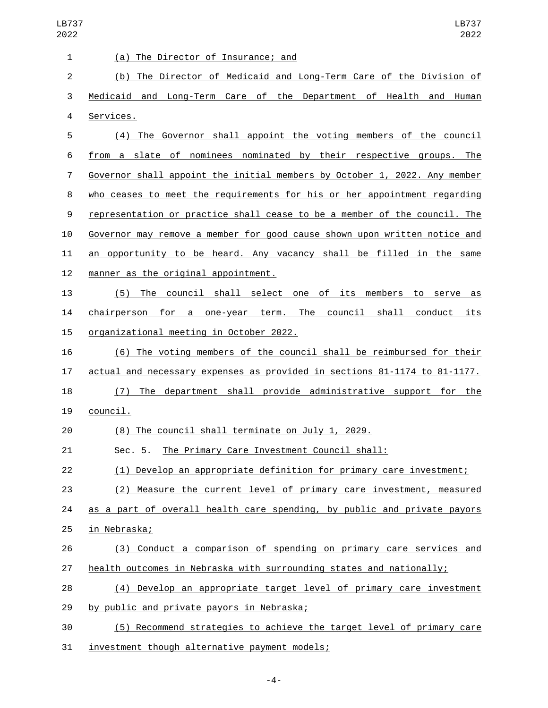| <b>LB737</b><br>2022 | LB737<br>2022                                                             |
|----------------------|---------------------------------------------------------------------------|
| 1                    | (a) The Director of Insurance; and                                        |
| $\overline{c}$       | The Director of Medicaid and Long-Term Care of the Division of<br>(b)     |
| 3                    | Medicaid and Long-Term Care of the Department of Health and<br>Human      |
| 4                    | Services.                                                                 |
| 5                    | The Governor shall appoint the voting members of the council<br>(4)       |
| 6                    | from a slate of nominees nominated by their respective groups. The        |
| 7                    | Governor shall appoint the initial members by October 1, 2022. Any member |
| 8                    | who ceases to meet the requirements for his or her appointment regarding  |
| 9                    | representation or practice shall cease to be a member of the council. The |
| 10                   | Governor may remove a member for good cause shown upon written notice and |
| 11                   | an opportunity to be heard. Any vacancy shall be filled in the same       |
| 12                   | manner as the original appointment.                                       |
| 13                   | (5) The council shall select one of its members to serve as               |
| 14                   | chairperson for a one-year term. The<br>council shall<br>conduct its      |
| 15                   | organizational meeting in October 2022.                                   |
| 16                   | (6) The voting members of the council shall be reimbursed for their       |
| 17                   | actual and necessary expenses as provided in sections 81-1174 to 81-1177. |
| 18                   | department shall provide administrative support for the<br>The<br>(7)     |
| 19                   | council.                                                                  |
| 20                   | (8) The council shall terminate on July 1, 2029.                          |
| 21                   | Sec. 5. The Primary Care Investment Council shall:                        |
| 22                   | (1) Develop an appropriate definition for primary care investment;        |
| 23                   | (2) Measure the current level of primary care investment, measured        |
| 24                   | as a part of overall health care spending, by public and private payors   |
| 25                   | in Nebraska;                                                              |
| 26                   | (3) Conduct a comparison of spending on primary care services and         |
| 27                   | health outcomes in Nebraska with surrounding states and nationally;       |
| 28                   | (4) Develop an appropriate target level of primary care investment        |
| 29                   | by public and private payors in Nebraska;                                 |
| 30                   | (5) Recommend strategies to achieve the target level of primary care      |
| 31                   | investment though alternative payment models;                             |

-4-